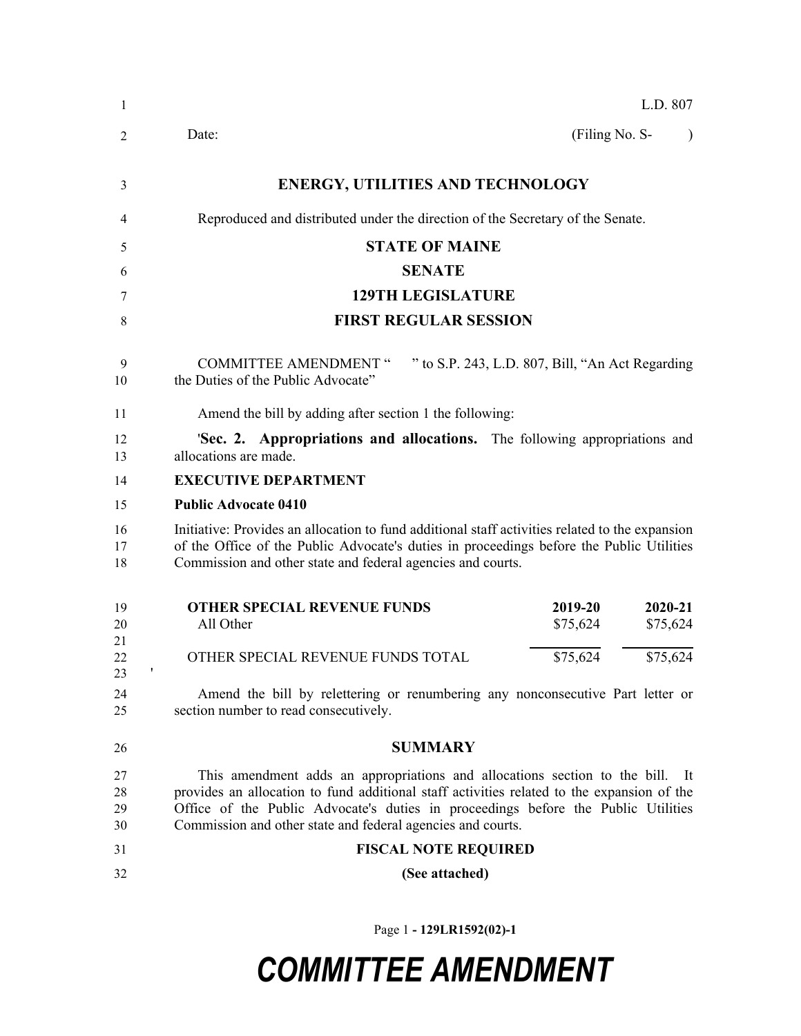| 1                    | L.D. 807                                                                                                                                                                                                                                                                                                                             |
|----------------------|--------------------------------------------------------------------------------------------------------------------------------------------------------------------------------------------------------------------------------------------------------------------------------------------------------------------------------------|
| 2                    | (Filing No. S-<br>Date:<br>$\lambda$                                                                                                                                                                                                                                                                                                 |
| 3                    | <b>ENERGY, UTILITIES AND TECHNOLOGY</b>                                                                                                                                                                                                                                                                                              |
| 4                    | Reproduced and distributed under the direction of the Secretary of the Senate.                                                                                                                                                                                                                                                       |
| 5                    | <b>STATE OF MAINE</b>                                                                                                                                                                                                                                                                                                                |
| 6                    | <b>SENATE</b>                                                                                                                                                                                                                                                                                                                        |
| 7                    | <b>129TH LEGISLATURE</b>                                                                                                                                                                                                                                                                                                             |
| 8                    | <b>FIRST REGULAR SESSION</b>                                                                                                                                                                                                                                                                                                         |
| 9<br>10              | <b>COMMITTEE AMENDMENT "</b><br>" to S.P. 243, L.D. 807, Bill, "An Act Regarding<br>the Duties of the Public Advocate"                                                                                                                                                                                                               |
| 11                   | Amend the bill by adding after section 1 the following:                                                                                                                                                                                                                                                                              |
| 12<br>13             | <b>Sec. 2. Appropriations and allocations.</b> The following appropriations and<br>allocations are made.                                                                                                                                                                                                                             |
| 14                   | <b>EXECUTIVE DEPARTMENT</b>                                                                                                                                                                                                                                                                                                          |
| 15                   | <b>Public Advocate 0410</b>                                                                                                                                                                                                                                                                                                          |
| 16<br>17<br>18       | Initiative: Provides an allocation to fund additional staff activities related to the expansion<br>of the Office of the Public Advocate's duties in proceedings before the Public Utilities<br>Commission and other state and federal agencies and courts.                                                                           |
| 19<br>20<br>21       | <b>OTHER SPECIAL REVENUE FUNDS</b><br>2019-20<br>2020-21<br>All Other<br>\$75,624<br>\$75,624                                                                                                                                                                                                                                        |
| 22<br>23             | \$75,624<br>OTHER SPECIAL REVENUE FUNDS TOTAL<br>\$75,624<br>1                                                                                                                                                                                                                                                                       |
| 24<br>25             | Amend the bill by relettering or renumbering any nonconsecutive Part letter or<br>section number to read consecutively.                                                                                                                                                                                                              |
| 26                   | <b>SUMMARY</b>                                                                                                                                                                                                                                                                                                                       |
| 27<br>28<br>29<br>30 | This amendment adds an appropriations and allocations section to the bill.<br>- It<br>provides an allocation to fund additional staff activities related to the expansion of the<br>Office of the Public Advocate's duties in proceedings before the Public Utilities<br>Commission and other state and federal agencies and courts. |
| 31                   | <b>FISCAL NOTE REQUIRED</b>                                                                                                                                                                                                                                                                                                          |
| 32                   | (See attached)                                                                                                                                                                                                                                                                                                                       |
|                      |                                                                                                                                                                                                                                                                                                                                      |

Page 1 **- 129LR1592(02)-1**

## *COMMITTEE AMENDMENT*